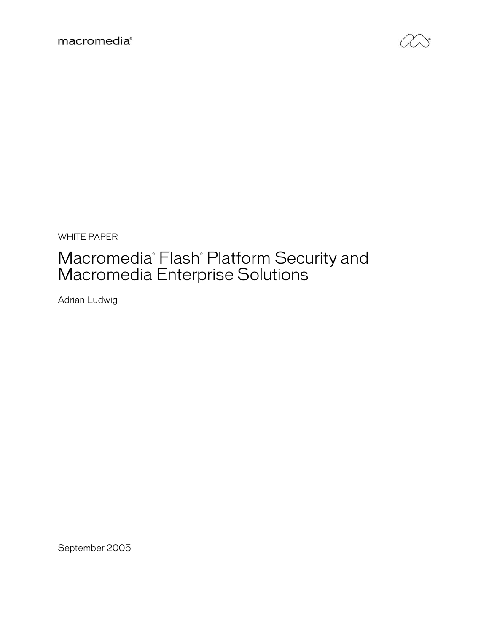

WHITE PAPER

# Macromedia<sup>®</sup> Flash<sup>®</sup> Platform Security and Macromedia Enterprise Solutions

Adrian Ludwig

September 2005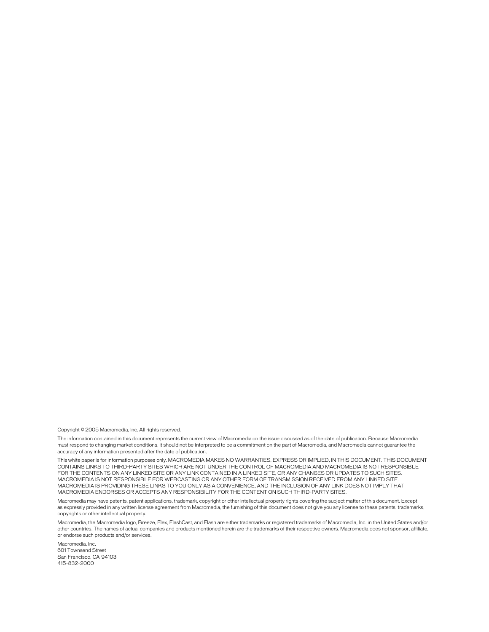Copyright © 2005 Macromedia, Inc. All rights reserved.

The information contained in this document represents the current view of Macromedia on the issue discussed as of the date of publication. Because Macromedia must respond to changing market conditions, it should not be interpreted to be a commitment on the part of Macromedia, and Macromedia cannot guarantee the accuracy of any information presented after the date of publication.

This white paper is for information purposes only. MACROMEDIA MAKES NO WARRANTIES, EXPRESS OR IMPLIED, IN THIS DOCUMENT. THIS DOCUMENT CONTAINS LINKS TO THIRD-PARTY SITES WHICH ARE NOT UNDER THE CONTROL OF MACROMEDIA AND MACROMEDIA IS NOT RESPONSIBLE FOR THE CONTENTS ON ANY LINKED SITE OR ANY LINK CONTAINED IN A LINKED SITE, OR ANY CHANGES OR UPDATES TO SUCH SITES. MACROMEDIA IS NOT RESPONSIBLE FOR WEBCASTING OR ANY OTHER FORM OF TRANSMISSION RECEIVED FROM ANY LINKED SITE. MACROMEDIA IS PROVIDING THESE LINKS TO YOU ONLY AS A CONVENIENCE, AND THE INCLUSION OF ANY LINK DOES NOT IMPLY THAT MACROMEDIA ENDORSES OR ACCEPTS ANY RESPONSIBILITY FOR THE CONTENT ON SUCH THIRD-PARTY SITES.

Macromedia may have patents, patent applications, trademark, copyright or other intellectual property rights covering the subject matter of this document. Except as expressly provided in any written license agreement from Macromedia, the furnishing of this document does not give you any license to these patents, trademarks, copyrights or other intellectual property.

Macromedia, the Macromedia logo, Breeze, Flex, FlashCast, and Flash are either trademarks or registered trademarks of Macromedia, Inc. in the United States and/or other countries. The names of actual companies and products mentioned herein are the trademarks of their respective owners. Macromedia does not sponsor, affiliate, or endorse such products and/or services.

Macromedia, Inc. 601 Townsend Street San Francisco, CA 94103 415–832–2000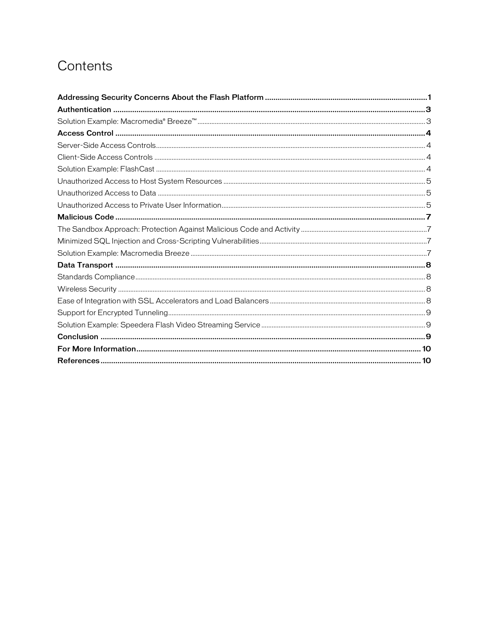# Contents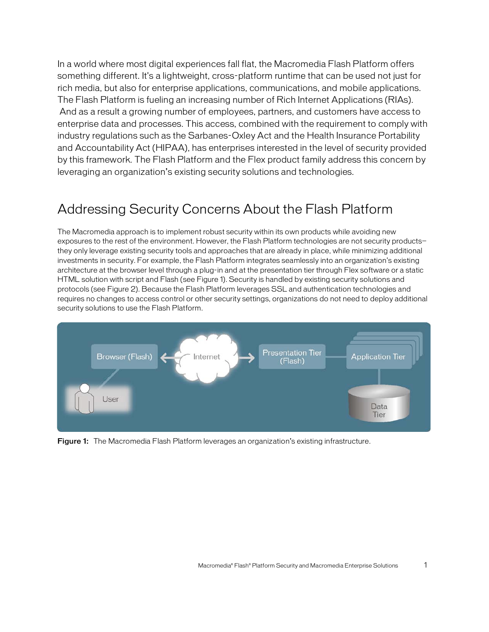In a world where most digital experiences fall flat, the Macromedia Flash Platform offers something different. It's a lightweight, cross-platform runtime that can be used not just for rich media, but also for enterprise applications, communications, and mobile applications. The Flash Platform is fueling an increasing number of Rich Internet Applications (RIAs). And as a result a growing number of employees, partners, and customers have access to enterprise data and processes. This access, combined with the requirement to comply with industry regulations such as the Sarbanes-Oxley Act and the Health Insurance Portability and Accountability Act (HIPAA), has enterprises interested in the level of security provided by this framework. The Flash Platform and the Flex product family address this concern by leveraging an organization's existing security solutions and technologies.

### Addressing Security Concerns About the Flash Platform

The Macromedia approach is to implement robust security within its own products while avoiding new exposures to the rest of the environment. However, the Flash Platform technologies are not security products they only leverage existing security tools and approaches that are already in place, while minimizing additional investments in security. For example, the Flash Platform integrates seamlessly into an organization's existing architecture at the browser level through a plug-in and at the presentation tier through Flex software or a static HTML solution with script and Flash (see Figure 1). Security is handled by existing security solutions and protocols (see Figure 2). Because the Flash Platform leverages SSL and authentication technologies and requires no changes to access control or other security settings, organizations do not need to deploy additional security solutions to use the Flash Platform.



Figure 1: The Macromedia Flash Platform leverages an organization's existing infrastructure.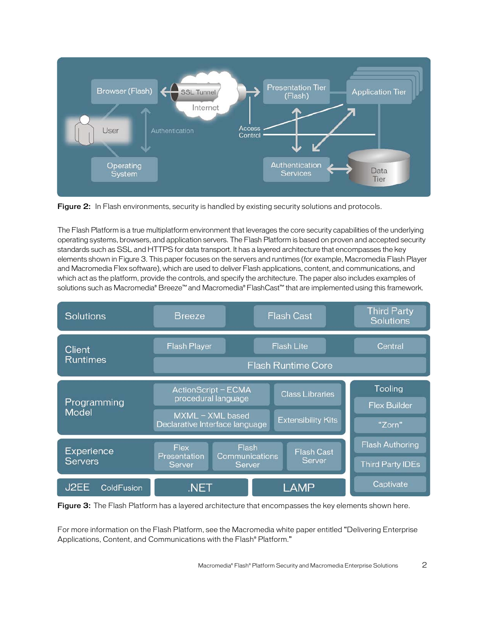

Figure 2: In Flash environments, security is handled by existing security solutions and protocols.

The Flash Platform is a true multiplatform environment that leverages the core security capabilities of the underlying operating systems, browsers, and application servers. The Flash Platform is based on proven and accepted security standards such as SSL and HTTPS for data transport. It has a layered architecture that encompasses the key elements shown in Figure 3. This paper focuses on the servers and runtimes (for example, Macromedia Flash Player and Macromedia Flex software), which are used to deliver Flash applications, content, and communications, and which act as the platform, provide the controls, and specify the architecture. The paper also includes examples of solutions such as Macromedia® Breeze™ and Macromedia® FlashCast™ that are implemented using this framework.



Figure 3: The Flash Platform has a layered architecture that encompasses the key elements shown here.

For more information on the Flash Platform, see the Macromedia white paper entitled "Delivering Enterprise Applications, Content, and Communications with the Flash® Platform."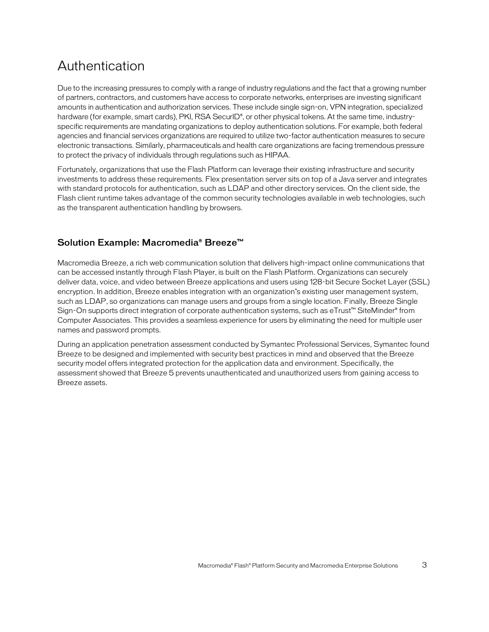## Authentication

Due to the increasing pressures to comply with a range of industry regulations and the fact that a growing number of partners, contractors, and customers have access to corporate networks, enterprises are investing significant amounts in authentication and authorization services. These include single sign-on, VPN integration, specialized hardware (for example, smart cards), PKI, RSA SecurID®, or other physical tokens. At the same time, industryspecific requirements are mandating organizations to deploy authentication solutions. For example, both federal agencies and financial services organizations are required to utilize two-factor authentication measures to secure electronic transactions. Similarly, pharmaceuticals and health care organizations are facing tremendous pressure to protect the privacy of individuals through regulations such as HIPAA.

Fortunately, organizations that use the Flash Platform can leverage their existing infrastructure and security investments to address these requirements. Flex presentation server sits on top of a Java server and integrates with standard protocols for authentication, such as LDAP and other directory services. On the client side, the Flash client runtime takes advantage of the common security technologies available in web technologies, such as the transparent authentication handling by browsers.

#### Solution Example: Macromedia® Breeze™

Macromedia Breeze, a rich web communication solution that delivers high-impact online communications that can be accessed instantly through Flash Player, is built on the Flash Platform. Organizations can securely deliver data, voice, and video between Breeze applications and users using 128-bit Secure Socket Layer (SSL) encryption. In addition, Breeze enables integration with an organization's existing user management system, such as LDAP, so organizations can manage users and groups from a single location. Finally, Breeze Single Sign-On supports direct integration of corporate authentication systems, such as eTrust™ SiteMinder® from Computer Associates. This provides a seamless experience for users by eliminating the need for multiple user names and password prompts.

During an application penetration assessment conducted by Symantec Professional Services, Symantec found Breeze to be designed and implemented with security best practices in mind and observed that the Breeze security model offers integrated protection for the application data and environment. Specifically, the assessment showed that Breeze 5 prevents unauthenticated and unauthorized users from gaining access to Breeze assets.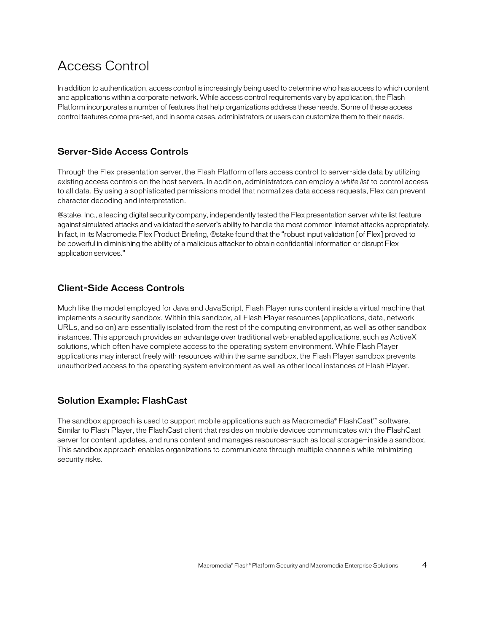## Access Control

In addition to authentication, access control is increasingly being used to determine who has access to which content and applications within a corporate network.While access control requirements vary by application, the Flash Platform incorporates a number of features that help organizations address these needs. Some of these access control features come pre-set, and in some cases, administrators or users can customize them to their needs.

#### Server-Side Access Controls

Through the Flex presentation server, the Flash Platform offers access control to server-side data by utilizing existing access controls on the host servers. In addition, administrators can employ a *white list* to control access to all data. By using a sophisticated permissions model that normalizes data access requests, Flex can prevent character decoding and interpretation.

@stake, Inc., a leading digital security company, independently tested the Flex presentation server white list feature against simulated attacks and validated the server's ability to handle the most common Internet attacks appropriately. In fact, in its Macromedia Flex Product Briefing, @stake found that the "robust input validation [of Flex] proved to be powerful in diminishing the ability of a malicious attacker to obtain confidential information or disrupt Flex application services."

#### Client-Side Access Controls

Much like the model employed for Java and JavaScript, Flash Player runs content inside a virtual machine that implements a security sandbox. Within this sandbox, all Flash Player resources (applications, data, network URLs, and so on) are essentially isolated from the rest of the computing environment, as well as other sandbox instances. This approach provides an advantage over traditional web-enabled applications, such as ActiveX solutions, which often have complete access to the operating system environment. While Flash Player applications may interact freely with resources within the same sandbox, the Flash Player sandbox prevents unauthorized access to the operating system environment as well as other local instances of Flash Player.

#### Solution Example: FlashCast

The sandbox approach is used to support mobile applications such as Macromedia® FlashCast™ software. Similar to Flash Player, the FlashCast client that resides on mobile devices communicates with the FlashCast server for content updates, and runs content and manages resources-such as local storage-inside a sandbox. This sandbox approach enables organizations to communicate through multiple channels while minimizing security risks.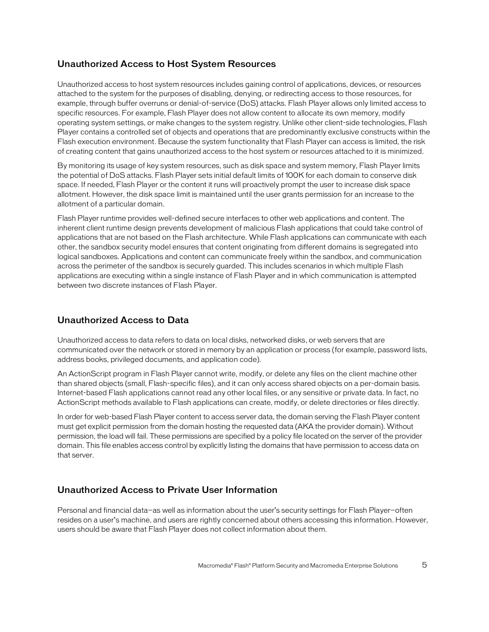#### Unauthorized Access to Host System Resources

Unauthorized access to host system resources includes gaining control of applications, devices, or resources attached to the system for the purposes of disabling, denying, or redirecting access to those resources, for example, through buffer overruns or denial-of-service (DoS) attacks. Flash Player allows only limited access to specific resources. For example, Flash Player does not allow content to allocate its own memory, modify operating system settings, or make changes to the system registry. Unlike other client-side technologies, Flash Player contains a controlled set of objects and operations that are predominantly exclusive constructs within the Flash execution environment. Because the system functionality that Flash Player can access is limited, the risk of creating content that gains unauthorized access to the host system or resources attached to it is minimized.

By monitoring its usage of key system resources, such as disk space and system memory, Flash Player limits the potential of DoS attacks. Flash Player sets initial default limits of 100K for each domain to conserve disk space. If needed, Flash Player or the content it runs will proactively prompt the user to increase disk space allotment. However, the disk space limit is maintained until the user grants permission for an increase to the allotment of a particular domain.

Flash Player runtime provides well-defined secure interfaces to other web applications and content. The inherent client runtime design prevents development of malicious Flash applications that could take control of applications that are not based on the Flash architecture. While Flash applications can communicate with each other, the sandbox security model ensures that content originating from different domains is segregated into logical sandboxes. Applications and content can communicate freely within the sandbox, and communication across the perimeter of the sandbox is securely guarded. This includes scenarios in which multiple Flash applications are executing within a single instance of Flash Player and in which communication is attempted between two discrete instances of Flash Player.

#### Unauthorized Access to Data

Unauthorized access to data refers to data on local disks, networked disks, or web servers that are communicated over the network or stored in memory by an application or process (for example, password lists, address books, privileged documents, and application code).

An ActionScript program in Flash Player cannot write, modify, or delete any files on the client machine other than shared objects (small, Flash-specific files), and it can only access shared objects on a per-domain basis. Internet-based Flash applications cannot read any other local files, or any sensitive or private data. In fact, no ActionScript methods available to Flash applications can create, modify, or delete directories or files directly.

In order for web-based Flash Player content to access server data, the domain serving the Flash Player content must get explicit permission from the domain hosting the requested data (AKA the provider domain). Without permission, the load will fail. These permissions are specified by a policy file located on the server of the provider domain. This file enables access control by explicitly listing the domains that have permission to access data on that server.

#### Unauthorized Access to Private User Information

Personal and financial data—as well as information about the user's security settings for Flash Player—often resides on a user's machine, and users are rightly concerned about others accessing this information. However, users should be aware that Flash Player does not collect information about them.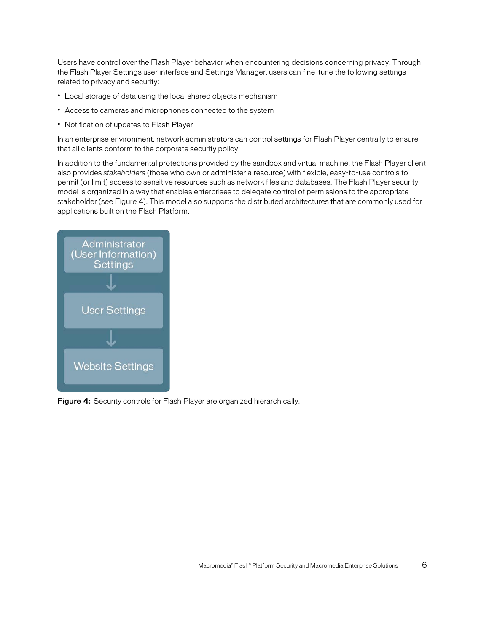Users have control over the Flash Player behavior when encountering decisions concerning privacy. Through the Flash Player Settings user interface and Settings Manager, users can fine-tune the following settings related to privacy and security:

- Local storage of data using the local shared objects mechanism
- Access to cameras and microphones connected to the system
- Notification of updates to Flash Player

In an enterprise environment, network administrators can control settings for Flash Player centrally to ensure that all clients conform to the corporate security policy.

In addition to the fundamental protections provided by the sandbox and virtual machine, the Flash Player client also provides *stakeholders* (those who own or administer a resource) with flexible, easy-to-use controls to permit (or limit) access to sensitive resources such as network files and databases. The Flash Player security model is organized in a way that enables enterprises to delegate control of permissions to the appropriate stakeholder (see Figure 4). This model also supports the distributed architectures that are commonly used for applications built on the Flash Platform.



Figure 4: Security controls for Flash Player are organized hierarchically.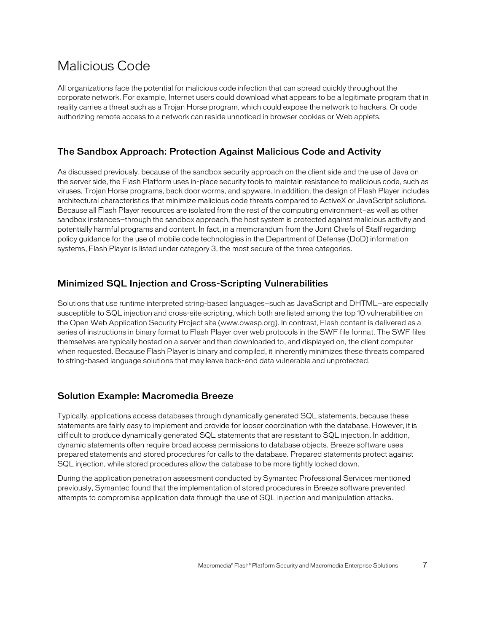## Malicious Code

All organizations face the potential for malicious code infection that can spread quickly throughout the corporate network. For example, Internet users could download what appears to be a legitimate program that in reality carries a threat such as a Trojan Horse program, which could expose the network to hackers. Or code authorizing remote access to a network can reside unnoticed in browser cookies or Web applets.

#### The Sandbox Approach: Protection Against Malicious Code and Activity

As discussed previously, because of the sandbox security approach on the client side and the use of Java on the server side, the Flash Platform uses in-place security tools to maintain resistance to malicious code, such as viruses, Trojan Horse programs, back door worms, and spyware. In addition, the design of Flash Player includes architectural characteristics that minimize malicious code threats compared to ActiveX or JavaScript solutions. Because all Flash Player resources are isolated from the rest of the computing environment-as well as other sandbox instances—through the sandbox approach, the host system is protected against malicious activity and potentially harmful programs and content. In fact, in a memorandum from the Joint Chiefs of Staff regarding policy guidance for the use of mobile code technologies in the Department of Defense (DoD) information systems, Flash Player is listed under category 3, the most secure of the three categories.

#### Minimized SQL Injection and Cross-Scripting Vulnerabilities

Solutions that use runtime interpreted string-based languages—such as JavaScript and DHTML—are especially susceptible to SQL injection and cross-site scripting, which both are listed among the top 10 vulnerabilities on the Open Web Application Security Project site (www.owasp.org). In contrast, Flash content is delivered as a series of instructions in binary format to Flash Player over web protocols in the SWF file format. The SWF files themselves are typically hosted on a server and then downloaded to, and displayed on, the client computer when requested. Because Flash Player is binary and compiled, it inherently minimizes these threats compared to string-based language solutions that may leave back-end data vulnerable and unprotected.

#### Solution Example: Macromedia Breeze

Typically, applications access databases through dynamically generated SQL statements, because these statements are fairly easy to implement and provide for looser coordination with the database. However, it is difficult to produce dynamically generated SQL statements that are resistant to SQL injection. In addition, dynamic statements often require broad access permissions to database objects. Breeze software uses prepared statements and stored procedures for calls to the database. Prepared statements protect against SQL injection, while stored procedures allow the database to be more tightly locked down.

During the application penetration assessment conducted by Symantec Professional Services mentioned previously, Symantec found that the implementation of stored procedures in Breeze software prevented attempts to compromise application data through the use of SQL injection and manipulation attacks.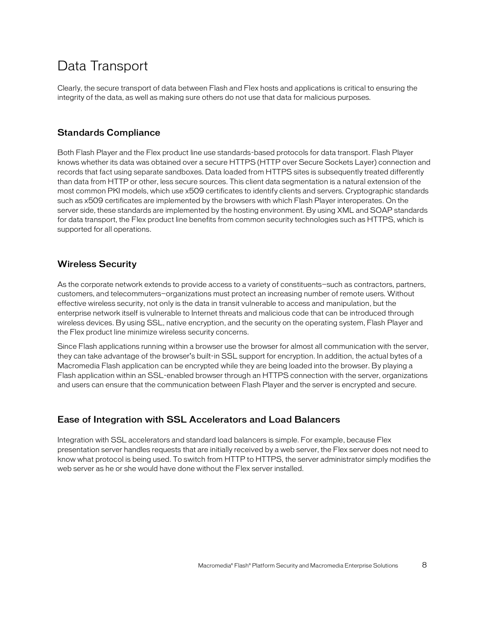## Data Transport

Clearly, the secure transport of data between Flash and Flex hosts and applications is critical to ensuring the integrity of the data, as well as making sure others do not use that data for malicious purposes.

#### Standards Compliance

Both Flash Player and the Flex product line use standards-based protocols for data transport. Flash Player knows whether its data was obtained over a secure HTTPS (HTTP over Secure Sockets Layer) connection and records that fact using separate sandboxes. Data loaded from HTTPS sites is subsequently treated differently than data from HTTP or other, less secure sources. This client data segmentation is a natural extension of the most common PKI models, which use x509 certificates to identify clients and servers. Cryptographic standards such as x509 certificates are implemented by the browsers with which Flash Player interoperates. On the server side, these standards are implemented by the hosting environment. By using XML and SOAP standards for data transport, the Flex product line benefits from common security technologies such as HTTPS, which is supported for all operations.

#### Wireless Security

As the corporate network extends to provide access to a variety of constituents—such as contractors, partners, customers, and telecommuters—organizations must protect an increasing number of remote users. Without effective wireless security, not only is the data in transit vulnerable to access and manipulation, but the enterprise network itself is vulnerable to Internet threats and malicious code that can be introduced through wireless devices. By using SSL, native encryption, and the security on the operating system, Flash Player and the Flex product line minimize wireless security concerns.

Since Flash applications running within a browser use the browser for almost all communication with the server, they can take advantage of the browser's built-in SSL support for encryption. In addition, the actual bytes of a Macromedia Flash application can be encrypted while they are being loaded into the browser. By playing a Flash application within an SSL-enabled browser through an HTTPS connection with the server, organizations and users can ensure that the communication between Flash Player and the server is encrypted and secure.

#### Ease of Integration with SSL Accelerators and Load Balancers

Integration with SSL accelerators and standard load balancers is simple. For example, because Flex presentation server handles requests that are initially received by a web server, the Flex server does not need to know what protocol is being used. To switch from HTTP to HTTPS, the server administrator simply modifies the web server as he or she would have done without the Flex server installed.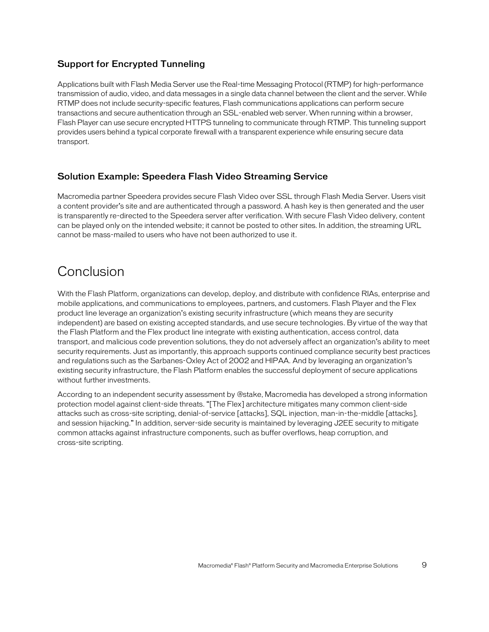#### Support for Encrypted Tunneling

Applications built with Flash Media Server use the Real-time Messaging Protocol (RTMP) for high-performance transmission of audio, video, and data messages in a single data channel between the client and the server. While RTMP does not include security-specific features, Flash communications applications can perform secure transactions and secure authentication through an SSL-enabled web server. When running within a browser, Flash Player can use secure encrypted HTTPS tunneling to communicate through RTMP. This tunneling support provides users behind a typical corporate firewall with a transparent experience while ensuring secure data transport.

#### Solution Example: Speedera Flash Video Streaming Service

Macromedia partner Speedera provides secure Flash Video over SSL through Flash Media Server. Users visit a content provider's site and are authenticated through a password. A hash key is then generated and the user is transparently re-directed to the Speedera server after verification. With secure Flash Video delivery, content can be played only on the intended website; it cannot be posted to other sites. In addition, the streaming URL cannot be mass-mailed to users who have not been authorized to use it.

### Conclusion

With the Flash Platform, organizations can develop, deploy, and distribute with confidence RIAs, enterprise and mobile applications, and communications to employees, partners, and customers. Flash Player and the Flex product line leverage an organization's existing security infrastructure (which means they are security independent) are based on existing accepted standards, and use secure technologies. By virtue of the way that the Flash Platform and the Flex product line integrate with existing authentication, access control, data transport, and malicious code prevention solutions, they do not adversely affect an organization's ability to meet security requirements. Just as importantly, this approach supports continued compliance security best practices and regulations such as the Sarbanes-Oxley Act of 2002 and HIPAA. And by leveraging an organization's existing security infrastructure, the Flash Platform enables the successful deployment of secure applications without further investments.

According to an independent security assessment by @stake, Macromedia has developed a strong information protection model against client-side threats. "[The Flex] architecture mitigates many common client-side attacks such as cross-site scripting, denial-of-service [attacks], SQL injection, man-in-the-middle [attacks], and session hijacking." In addition, server-side security is maintained by leveraging J2EE security to mitigate common attacks against infrastructure components, such as buffer overflows, heap corruption, and cross-site scripting.